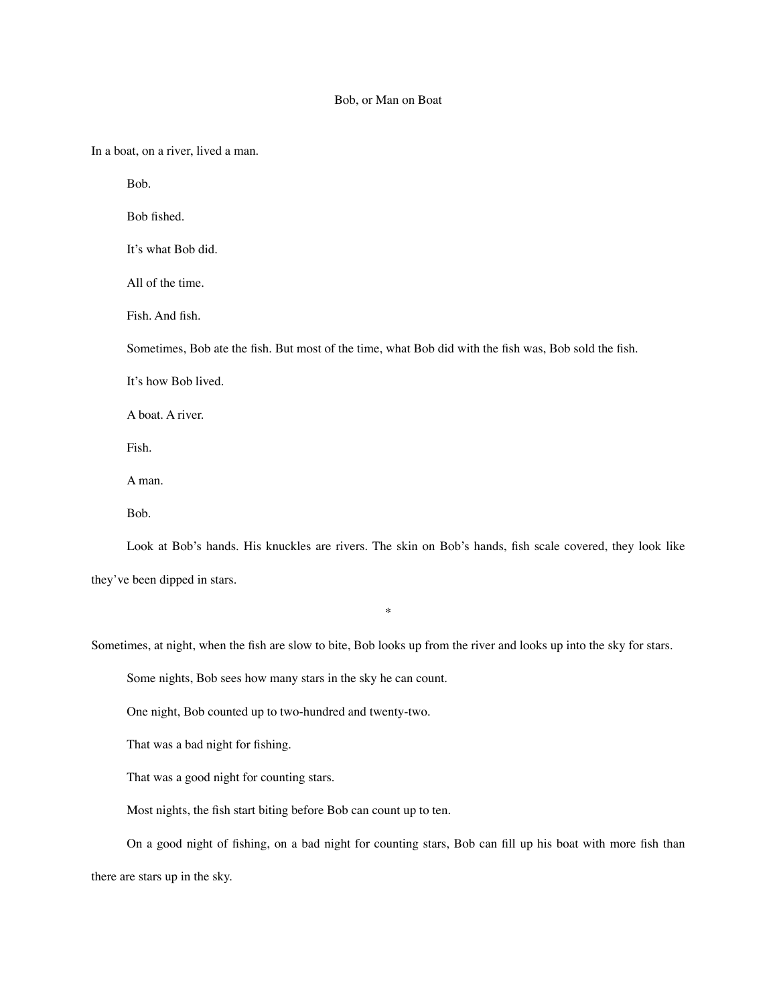## Bob, or Man on Boat

In a boat, on a river, lived a man.

Bob.

Bob fished.

It's what Bob did.

All of the time.

Fish. And fish.

Sometimes, Bob ate the fish. But most of the time, what Bob did with the fish was, Bob sold the fish.

It's how Bob lived.

A boat. A river.

Fish.

A man.

Bob.

Look at Bob's hands. His knuckles are rivers. The skin on Bob's hands, fish scale covered, they look like they've been dipped in stars.

\*

Sometimes, at night, when the fish are slow to bite, Bob looks up from the river and looks up into the sky for stars.

Some nights, Bob sees how many stars in the sky he can count.

One night, Bob counted up to two-hundred and twenty-two.

That was a bad night for fishing.

That was a good night for counting stars.

Most nights, the fish start biting before Bob can count up to ten.

On a good night of fishing, on a bad night for counting stars, Bob can fill up his boat with more fish than there are stars up in the sky.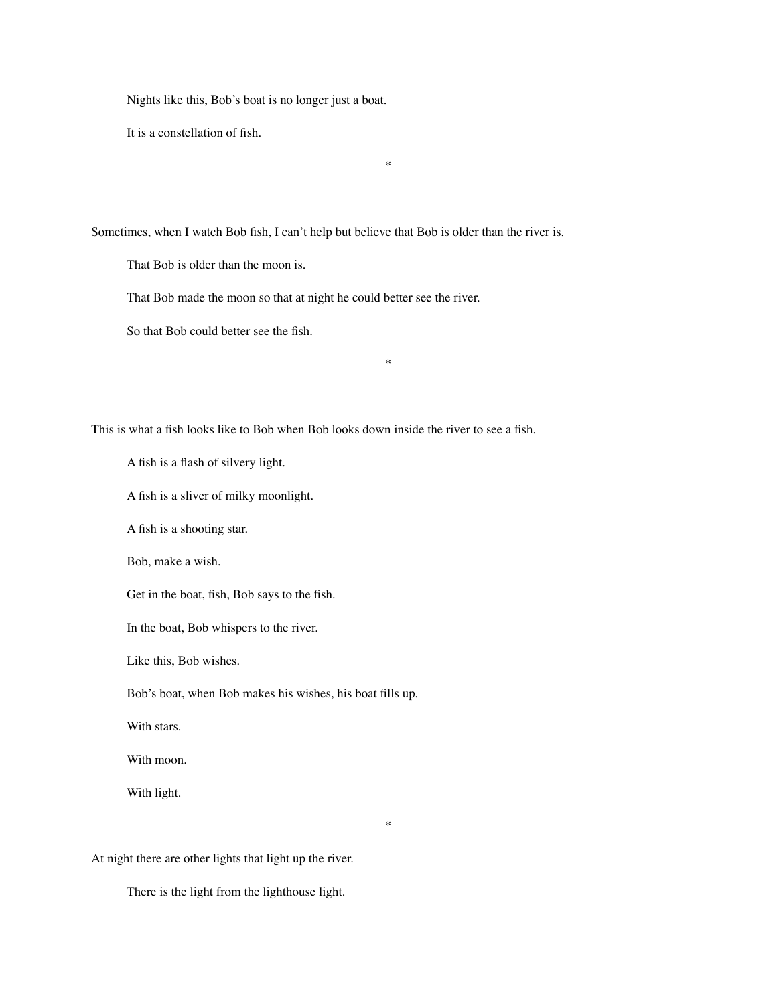Nights like this, Bob's boat is no longer just a boat.

It is a constellation of fish.

\*

\*

\*

Sometimes, when I watch Bob fish, I can't help but believe that Bob is older than the river is.

That Bob is older than the moon is.

That Bob made the moon so that at night he could better see the river.

So that Bob could better see the fish.

This is what a fish looks like to Bob when Bob looks down inside the river to see a fish.

A fish is a flash of silvery light.

A fish is a sliver of milky moonlight.

A fish is a shooting star.

Bob, make a wish.

Get in the boat, fish, Bob says to the fish.

In the boat, Bob whispers to the river.

Like this, Bob wishes.

Bob's boat, when Bob makes his wishes, his boat fills up.

With stars.

With moon.

With light.

At night there are other lights that light up the river.

There is the light from the lighthouse light.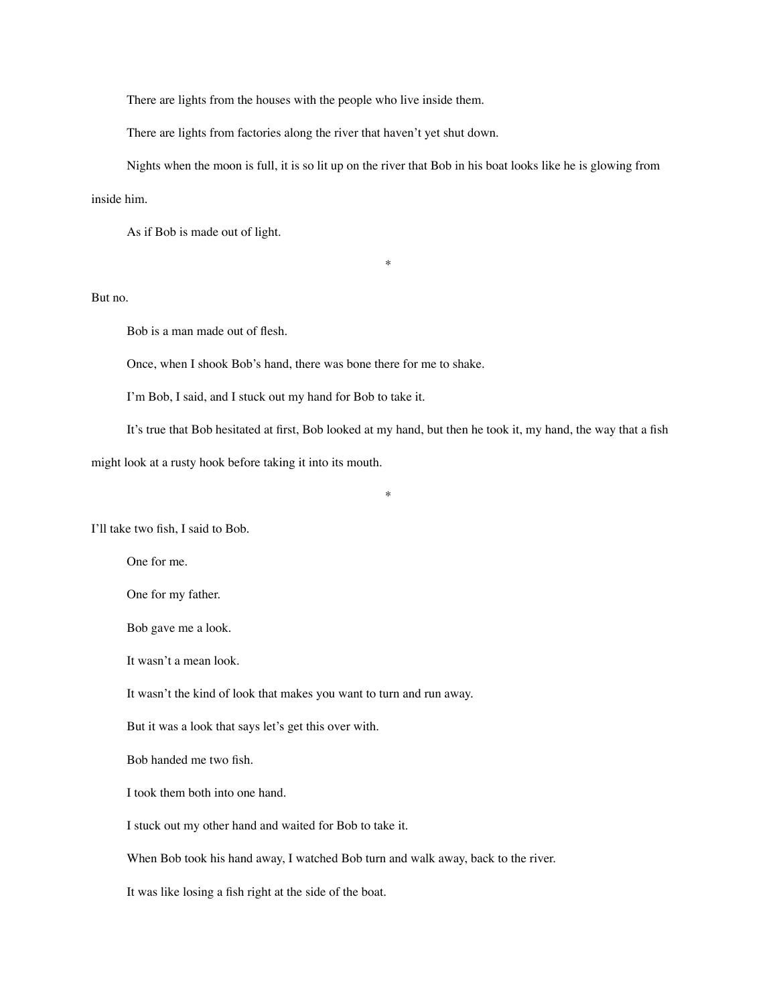There are lights from the houses with the people who live inside them.

There are lights from factories along the river that haven't yet shut down.

Nights when the moon is full, it is so lit up on the river that Bob in his boat looks like he is glowing from

\*

inside him.

As if Bob is made out of light.

But no.

Bob is a man made out of flesh.

Once, when I shook Bob's hand, there was bone there for me to shake.

I'm Bob, I said, and I stuck out my hand for Bob to take it.

It's true that Bob hesitated at first, Bob looked at my hand, but then he took it, my hand, the way that a fish might look at a rusty hook before taking it into its mouth.

\*

I'll take two fish, I said to Bob.

One for me.

One for my father.

Bob gave me a look.

It wasn't a mean look.

It wasn't the kind of look that makes you want to turn and run away.

But it was a look that says let's get this over with.

Bob handed me two fish.

I took them both into one hand.

I stuck out my other hand and waited for Bob to take it.

When Bob took his hand away, I watched Bob turn and walk away, back to the river.

It was like losing a fish right at the side of the boat.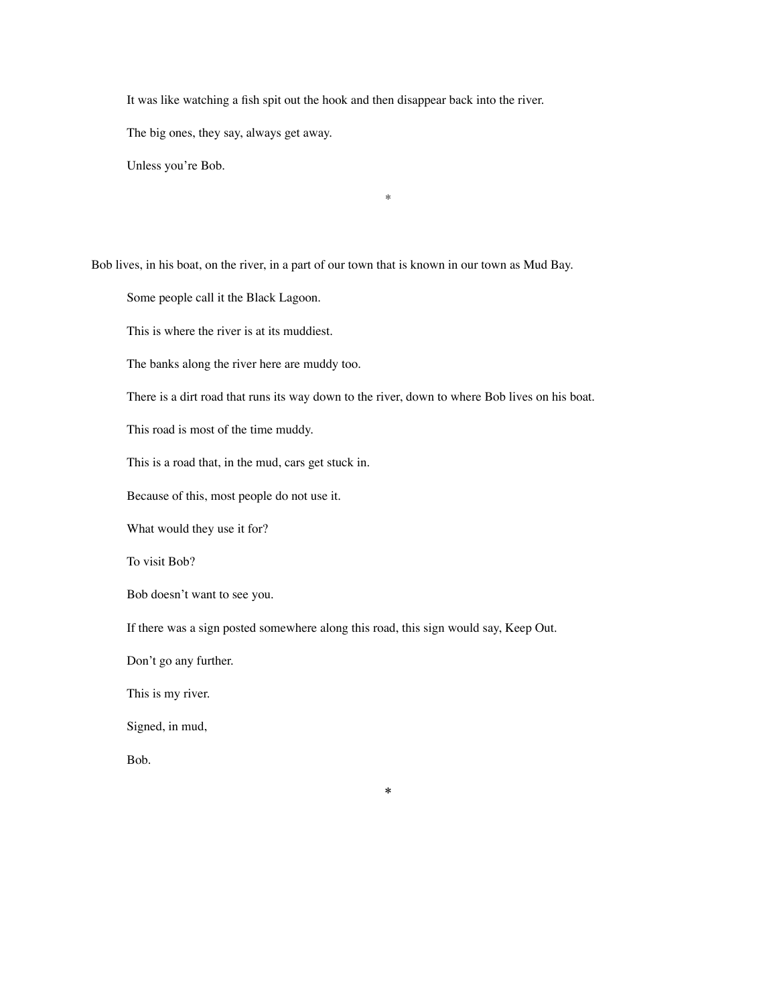It was like watching a fish spit out the hook and then disappear back into the river.

The big ones, they say, always get away.

Unless you're Bob.

Bob lives, in his boat, on the river, in a part of our town that is known in our town as Mud Bay.

Some people call it the Black Lagoon.

This is where the river is at its muddiest.

The banks along the river here are muddy too.

There is a dirt road that runs its way down to the river, down to where Bob lives on his boat.

\*

This road is most of the time muddy.

This is a road that, in the mud, cars get stuck in.

Because of this, most people do not use it.

What would they use it for?

To visit Bob?

Bob doesn't want to see you.

If there was a sign posted somewhere along this road, this sign would say, Keep Out.

\*

Don't go any further.

This is my river.

Signed, in mud,

Bob.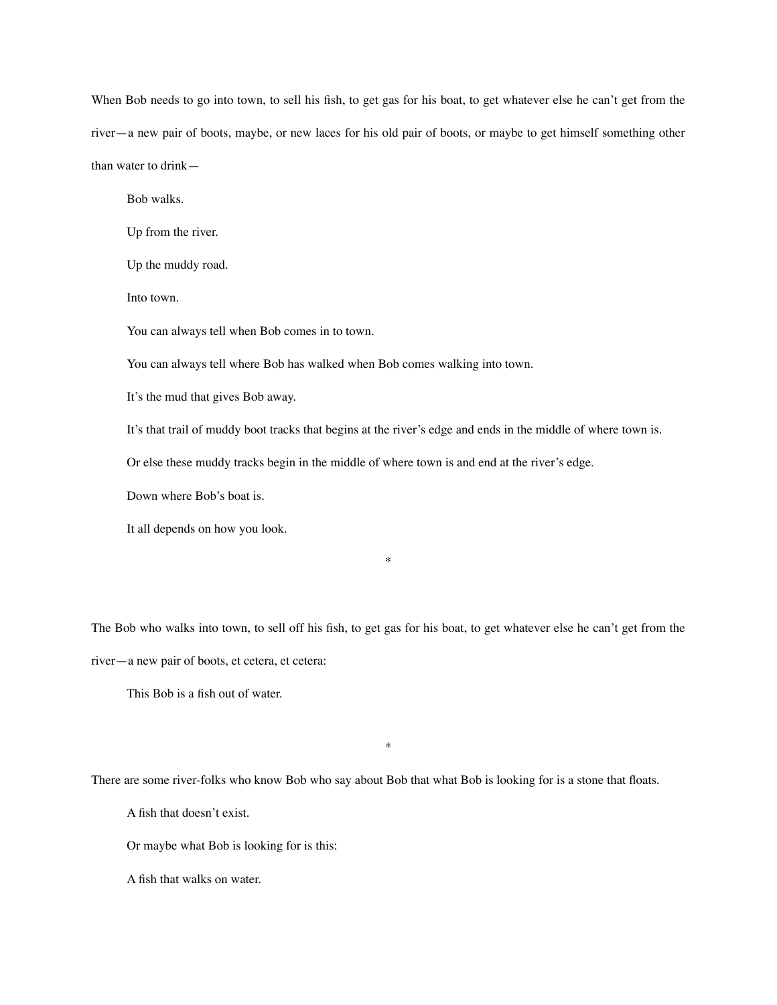When Bob needs to go into town, to sell his fish, to get gas for his boat, to get whatever else he can't get from the river—a new pair of boots, maybe, or new laces for his old pair of boots, or maybe to get himself something other than water to drink—

Bob walks.

Up from the river.

Up the muddy road.

Into town.

You can always tell when Bob comes in to town.

You can always tell where Bob has walked when Bob comes walking into town.

It's the mud that gives Bob away.

It's that trail of muddy boot tracks that begins at the river's edge and ends in the middle of where town is.

Or else these muddy tracks begin in the middle of where town is and end at the river's edge.

Down where Bob's boat is.

It all depends on how you look.

The Bob who walks into town, to sell off his fish, to get gas for his boat, to get whatever else he can't get from the

\*

river—a new pair of boots, et cetera, et cetera:

This Bob is a fish out of water.

There are some river-folks who know Bob who say about Bob that what Bob is looking for is a stone that floats.

\*

A fish that doesn't exist.

Or maybe what Bob is looking for is this:

A fish that walks on water.